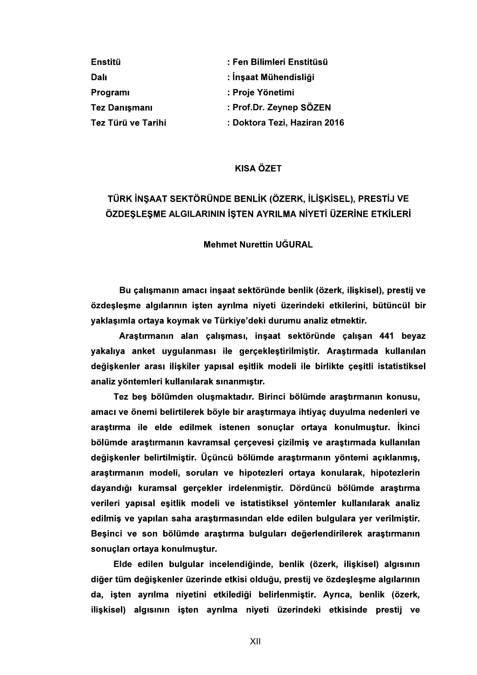| Enstitü              | : Fen Bilimleri Enstitüsü    |
|----------------------|------------------------------|
| Dalı                 | : İnşaat Mühendisliği        |
| Program              | : Proje Yönetimi             |
| <b>Tez Danışmanı</b> | : Prof.Dr. Zeynep SÖZEN      |
| Tez Türü ve Tarihi   | : Doktora Tezi, Haziran 2016 |

## **KISA ÖZET**

## TÜRK İNŞAAT SEKTÖRÜNDE BENLİK (ÖZERK, İLİŞKİSEL), PRESTİJ VE <u>ÖZDESLESME ALGILARININ İSTEN AYRILMA NİYETİ ÜZERİNE ETKİLERİ</u>

### **Mehmet Nurettin UĞURAL**

Bu çalışmanın amacı inşaat sektöründe benlik (özerk, ilişkisel), prestij ve özdeslesme algılarının isten ayrılma niyeti üzerindeki etkilerini, bütüncül bir yaklaşımla ortaya koymak ve Türkiye'deki durumu analiz etmektir.

Araştırmanın alan çalışması, inşaat sektöründe çalışan 441 beyaz yakalıya anket uygulanması ile gerçekleştirilmiştir. Araştırmada kullanılan değiskenler arası iliskiler yapısal esitlik modeli ile birlikte çesitli istatistiksel analiz yöntemleri kullanılarak sınanmıştır.

Tez beş bölümden oluşmaktadır. Birinci bölümde araştırmanın konusu, amacı ve önemi belirtilerek böyle bir araştırmaya ihtiyaç duyulma nedenleri ve araştırma ile elde edilmek istenen sonuçlar ortaya konulmuştur. İkinci bölümde araştırmanın kavramsal çerçevesi çizilmiş ve araştırmada kullanılan değişkenler belirtilmiştir. Üçüncü bölümde araştırmanın yöntemi açıklanmış, araştırmanın modeli, soruları ve hipotezleri ortaya konularak, hipotezlerin dayandığı kuramsal gerçekler irdelenmiştir. Dördüncü bölümde araştırma verileri yapısal eşitlik modeli ve istatistiksel yöntemler kullanılarak analiz edilmiş ve yapılan saha araştırmasından elde edilen bulgulara yer verilmiştir. Beşinci ve son bölümde araştırma bulguları değerlendirilerek araştırmanın sonucları ortaya konulmuştur.

Elde edilen bulgular incelendiğinde, benlik (özerk, ilişkisel) algısının diğer tüm değişkenler üzerinde etkisi olduğu, prestij ve özdeşleşme algılarının da, işten ayrılma niyetini etkilediği belirlenmiştir. Ayrıca, benlik (özerk, ilişkisel) algısının işten ayrılma niyeti üzerindeki etkisinde prestij ve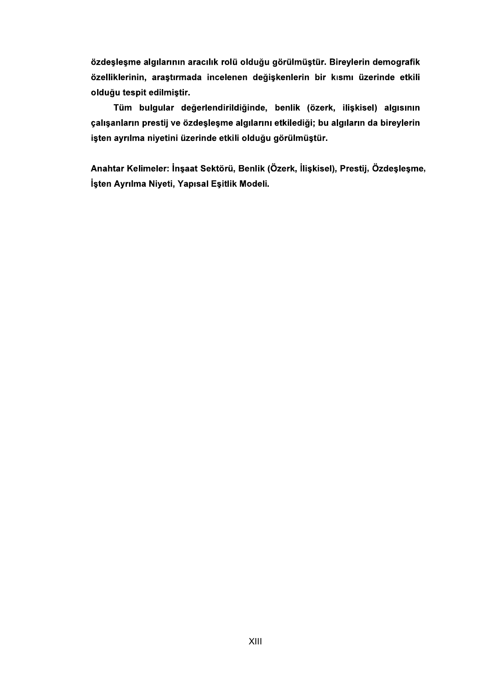özdeşleşme algılarının aracılık rolü olduğu görülmüştür. Bireylerin demografik özelliklerinin, araştırmada incelenen değişkenlerin bir kısmı üzerinde etkili olduğu tespit edilmiştir.

Tüm bulgular değerlendirildiğinde, benlik (özerk, ilişkisel) algısının çalışanların prestij ve özdeşleşme algılarını etkilediği; bu algıların da bireylerin işten ayrılma niyetini üzerinde etkili olduğu görülmüştür.

Anahtar Kelimeler: İnşaat Sektörü, Benlik (Özerk, İlişkisel), Prestij, Özdeşleşme, İşten Ayrılma Niyeti, Yapısal Eşitlik Modeli.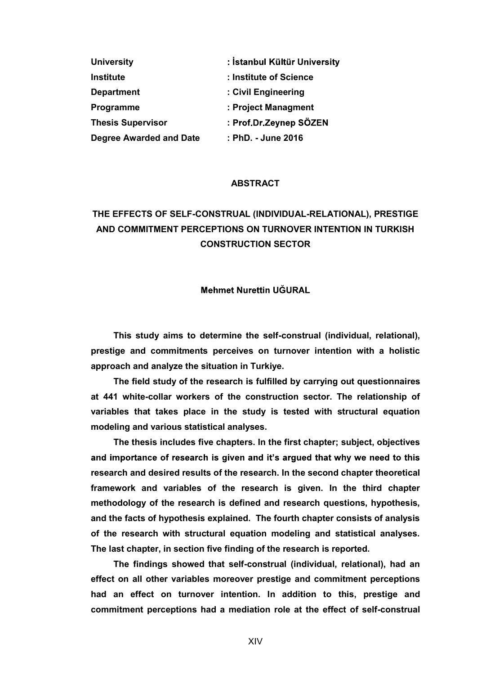| <b>University</b>              | : İstanbul Kültür University |
|--------------------------------|------------------------------|
| <b>Institute</b>               | : Institute of Science       |
| <b>Department</b>              | : Civil Engineering          |
| Programme                      | : Project Managment          |
| <b>Thesis Supervisor</b>       | : Prof.Dr.Zeynep SÖZEN       |
| <b>Degree Awarded and Date</b> | : PhD. - June 2016           |

### ABSTRACT

# THE EFFECTS OF SELF-CONSTRUAL (INDIVIDUAL-RELATIONAL), PRESTIGE AND COMMITMENT PERCEPTIONS ON TURNOVER INTENTION IN TURKISH CONSTRUCTION SECTOR

### **Mehmet Nurettin UĞURAL**

This study aims to determine the self-construal (individual, relational), prestige and commitments perceives on turnover intention with a holistic approach and analyze the situation in Turkiye.

The field study of the research is fulfilled by carrying out questionnaires at 441 white-collar workers of the construction sector. The relationship of variables that takes place in the study is tested with structural equation modeling and various statistical analyses.

The thesis includes five chapters. In the first chapter; subject, objectives and importance of research is given and it's argued that why we need to this research and desired results of the research. In the second chapter theoretical framework and variables of the research is given. In the third chapter methodology of the research is defined and research questions, hypothesis, and the facts of hypothesis explained. The fourth chapter consists of analysis of the research with structural equation modeling and statistical analyses. The last chapter, in section five finding of the research is reported.

The findings showed that self-construal (individual, relational), had an effect on all other variables moreover prestige and commitment perceptions had an effect on turnover intention. In addition to this, prestige and commitment perceptions had a mediation role at the effect of self-construal